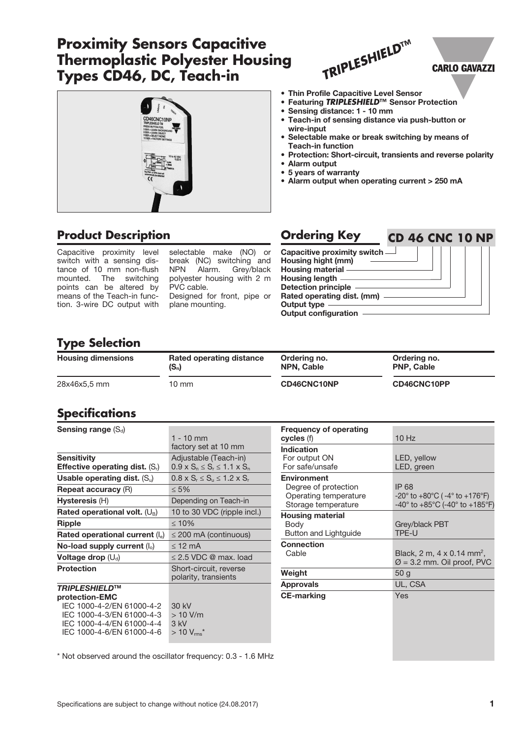# **Proximity Sensors Capacitive Thermoplastic Polyester Housing Types CD46, DC, Teach-in**



# *TRIPLESHIELD***™**

## **CARLO GAVAZZI**

- Thin Profile Capacitive Level Sensor
- Featuring *TRIPLESHIELD***™** Sensor Protection
- Sensing distance: 1 10 mm
- Teach-in of sensing distance via push-button or wire-input
- Selectable make or break switching by means of Teach-in function
- Protection: Short-circuit, transients and reverse polarity
- Alarm output
- 5 years of warranty
- Alarm output when operating current > 250 mA

# **Product Description**

Capacitive proximity level switch with a sensing distance of 10 mm non-flush mounted. The switching points can be altered by means of the Teach-in function. 3-wire DC output with

selectable make (NO) or break (NC) switching and NPN Alarm. Grey/black polyester housing with 2 m PVC cable. Designed for front, pipe or plane mounting.

| <b>Ordering Key</b>           |  | <b>CD 46 CNC 10 NP</b> |  |
|-------------------------------|--|------------------------|--|
| Capacitive proximity switch - |  |                        |  |
| Housing hight (mm)            |  |                        |  |
| Housing material -            |  |                        |  |
| Housing length -              |  |                        |  |
| <b>Detection principle</b>    |  |                        |  |
| Rated operating dist. (mm) -  |  |                        |  |
| <b>Output type</b>            |  |                        |  |
| <b>Output configuration</b>   |  |                        |  |

# **Type Selection**

| <b>Housing dimensions</b> | Rated operating distance | Ordering no.      | Ordering no.      |
|---------------------------|--------------------------|-------------------|-------------------|
|                           | $(S_n)$                  | <b>NPN, Cable</b> | <b>PNP, Cable</b> |
| 28x46x5.5 mm              | $10 \text{ mm}$          | CD46CNC10NP       | CD46CNC10PP       |

## **Specifications**

| Sensing range $(S_d)$                   |                                                |
|-----------------------------------------|------------------------------------------------|
|                                         | $1 - 10$ mm                                    |
|                                         | factory set at 10 mm                           |
| <b>Sensitivity</b>                      | Adjustable (Teach-in)                          |
| <b>Effective operating dist.</b> $(Si)$ | $0.9 \times S_n \le S_r \le 1.1 \times S_n$    |
| Usable operating dist. $(S_u)$          | $0.8 \times S_r \leq S_u \leq 1.2 \times S_r$  |
| <b>Repeat accuracy (R)</b>              | $\leq 5\%$                                     |
| Hysteresis (H)                          | Depending on Teach-in                          |
| Rated operational volt. $(U_B)$         | 10 to 30 VDC (ripple incl.)                    |
| Ripple                                  | $\leq 10\%$                                    |
| Rated operational current $(I_e)$       | $\leq$ 200 mA (continuous)                     |
| No-load supply current $(I_0)$          | $\leq$ 12 mA                                   |
| Voltage drop $(U_d)$                    | $\leq$ 2.5 VDC @ max. load                     |
| <b>Protection</b>                       | Short-circuit, reverse<br>polarity, transients |
| <b>TRIPLESHIELDTM</b>                   |                                                |
| protection-EMC                          |                                                |
| IEC 1000-4-2/EN 61000-4-2               | 30 kV                                          |
| IEC 1000-4-3/EN 61000-4-3               | $>10$ V/m                                      |
| IEC 1000-4-4/EN 61000-4-4               | 3 kV                                           |
| IEC 1000-4-6/EN 61000-4-6               | $>10 V_{\rm rms}$ *                            |

| <b>Frequency of operating</b><br>cycles (f)                                                | $10$ Hz                                                                                                                                                |
|--------------------------------------------------------------------------------------------|--------------------------------------------------------------------------------------------------------------------------------------------------------|
| Indication<br>For output ON<br>For safe/unsafe                                             | LED, yellow<br>LED, green                                                                                                                              |
| <b>Environment</b><br>Degree of protection<br>Operating temperature<br>Storage temperature | IP 68<br>$-20^{\circ}$ to $+80^{\circ}$ C ( $-4^{\circ}$ to $+176^{\circ}$ F)<br>$-40^{\circ}$ to $+85^{\circ}$ C (-40 $^{\circ}$ to $+185^{\circ}$ F) |
| <b>Housing material</b><br>Body<br>Button and Lightguide                                   | Grey/black PBT<br>TPE-U                                                                                                                                |
| <b>Connection</b><br>Cable                                                                 | Black, 2 m, 4 x 0.14 mm <sup>2</sup> ,<br>$\varnothing$ = 3.2 mm. Oil proof, PVC                                                                       |
| Weight                                                                                     | 50 g                                                                                                                                                   |
| <b>Approvals</b>                                                                           | UL, CSA                                                                                                                                                |
| <b>CE-marking</b>                                                                          | Yes                                                                                                                                                    |

\* Not observed around the oscillator frequency: 0.3 - 1.6 MHz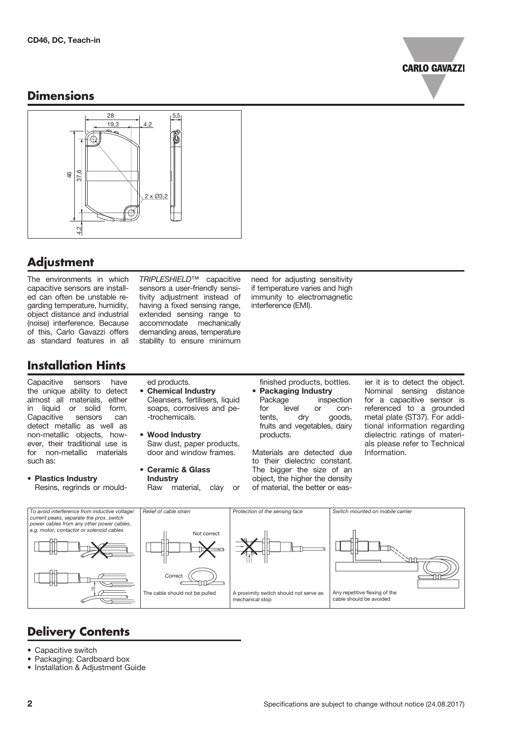

## **Dimensions**



# **Adjustment**

The environments in which capacitive sensors are installed can often be unstable regarding temperature, humidity, object distance and industrial (noise) interference. Because of this, Carlo Gavazzi offers as standard features in all

*TRIPLESHIELD*™ capacitive sensors a user-friendly sensitivity adjustment instead of having a fixed sensing range, extended sensing range to accommodate mechanically demanding areas, temperature stability to ensure minimum

need for adjusting sensitivity if temperature varies and high immunity to electromagnetic interference (EMI).

# **Installation Hints**

Capacitive sensors have the unique ability to detect almost all materials, either in liquid or solid form. Capacitive sensors can detect metallic as well as non-metallic objects, however, their traditional use is for non-metallic materials such as:

• Plastics Industry Resins, regrinds or mould-

- ed products. • Chemical Industry Cleansers, fertilisers, liquid soaps, corrosives and pe- -trochemicals.
- Wood Industry Saw dust, paper products, door and window frames.
- Ceramic & Glass **Industry** Raw material, clay or
- finished products, bottles. • Packaging Industry Package **inspection** for level or contents, dry goods, fruits and vegetables, dairy products.

Materials are detected due to their dielectric constant. The bigger the size of an object, the higher the density of material, the better or easier it is to detect the object. Nominal sensing distance for a capacitive sensor is referenced to a grounded metal plate (ST37). For additional information regarding dielectric ratings of materials please refer to Technical Information.



# **Delivery Contents**

- Capacitive switch
- Packaging: Cardboard box
- Installation & Adjustment Guide